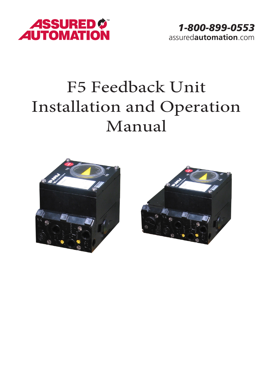

## F5 Feedback Unit Installation and Operation Manual



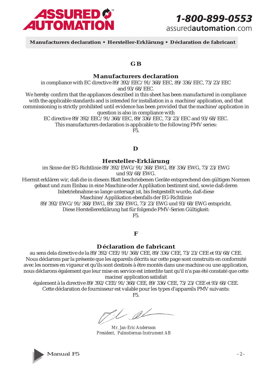

 **Manufacturers declaration • Hersteller-Erklärung • Déclaration de fabricant**

## **GB**

#### **Manufacturers declaration**

in compliance with EC directive 89/392/EEC/91/368/EEC, 89/336/EEC, 73/23/EEC and 93/68/EEC.

We hereby confirm that the appliances described in this sheet has been manufactured in compliance with the applicable standards and is intended for installation in a machine/application, and that commissioning is strictly prohibited until evidence has been provided that the machine/application in question is also in compliance with

EC directive 89/392/EEC/91/368/EEC, 89/336/EEC, 73/23/EEC and 93/68/EEC. This manufacturers declaration is applicable to the following PMV series:

F5.

#### **D**

**Hersteller-Erklärung**

im Sinne der EG-Richtlinie 89/392/EWG/91/368/EWG, 89/336/EWG, 73/23/EWG und 93/68/EWG.

Hiermit erklären wir, daß die in diesem Blatt beschriebenen Geräte entsprechend den gültigen Normen gebaut und zum Einbau in eine Maschine oder Applikation bestimmt sind, sowie daß deren Inbetriebnahme so lange untersagt ist, bis festgestellt wurde, daß diese

Maschine/Applikation ebenfalls der EG-Richtlinie

89/392/EWG/91/368/EWG, 89/336/EWG, 73/23/EWG und 93/68/EWG entspricht.

Diese Herstellererklärung hat für folgende PMV-Serien Gültigkeit:

F5.

#### **F**

#### **Déclaration de fabricant**

au sens dela directive de la 89/392/CEE/91/368/CEE, 89/336/CEE, 73/23/CEE et 93/68/CEE. Nous déclarons par la présente que les appareils décrits sur cette page sont construits en conformité avec les normes en vigueur et qu'ils sont destinés à être montés dans une machine ou une application, nous déclarons également que leur mise en service est interdite tant qu'il n'a pas été constaté que cette macine/application satisfait

également à la directive 89/392/CEE/91/368/CEE, 89/336/CEE, 73/23/CEE et 93/68/CEE. Cette déclaration de fournisseur est valable pour les types d'appareils PMV suivants:

F5.

Til el

*Mr. Jan-Eric Andersson President, Palmstiernas Instrument AB*

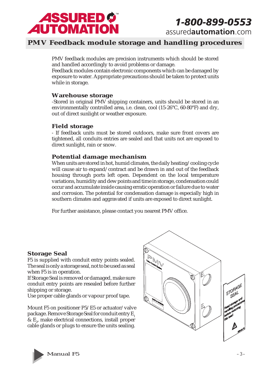

## *1-800-899-0553*

assured**automation**.com

## **PMV Feedback module storage and handling procedures**

PMV feedback modules are precision instruments which should be stored and handled accordingly to avoid problems or damage.

Feedback modules contain electronic components which can be damaged by exposure to water. Appropriate precautions should be taken to protect units while in storage.

#### **Warehouse storage**

-Stored in original PMV shipping containers, units should be stored in an environmentally controlled area, i.e. clean, cool (15-26°C, 60-80°F) and dry, out of direct sunlight or weather exposure.

#### **Field storage**

- If feedback units must be stored outdoors, make sure front covers are tightened, all conduits entries are sealed and that units not are exposed to direct sunlight, rain or snow.

## **Potential damage mechanism**

When units are stored in hot, humid climates, the daily heating/cooling cycle will cause air to expand/contract and be drawn in and out of the feedback housing through ports left open. Dependent on the local temperature variations, humidity and dew points and time in storage, condensation could occur and accumulate inside causing erratic operation or failure due to water and corrosion. The potential for condensation damage is especially high in southern climates and aggravated if units are exposed to direct sunlight.

For further assistance, please contact you nearest PMV office.

## **Storage Seal**

F5 is supplied with conduit entry points sealed. The seal is only a storage seal, not to be used as seal when F5 is in operation.

If Storage Seal is removed or damaged, make sure conduit entry points are resealed before further shipping or storage.

Use proper cable glands or vapour proof tape.

Mount F5 on positioner P5/E5 or actuator/valve package. Remove Storage Seal for conduit entry E<sub>1</sub> &  $E_z$ , make electrical connections, install proper cable glands or plugs to ensure the units sealing.



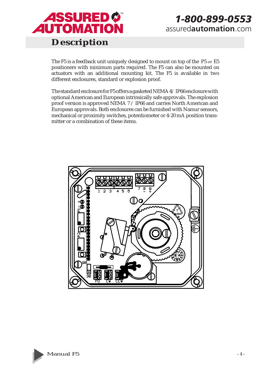

## **Description**

The F5 is a feedback unit uniquely designed to mount on top of the P5 or E5 positioners with minimum parts required. The F5 can also be mounted on actuators with an additional mounting kit. The F5 is available in two different enclosures, standard or explosion proof.

The standard enclosure for F5 offers a gasketed NEMA 4/ IP66 enclosure with optional American and European intrinsically safe approvals. The explosion proof version is approved NEMA 7 / IP66 and carries North American and European approvals. Both enclosures can be furnished with Namur sensors, mechanical or proximity switches, potentiometer or 4-20 mA position transmitter or a combination of these items.



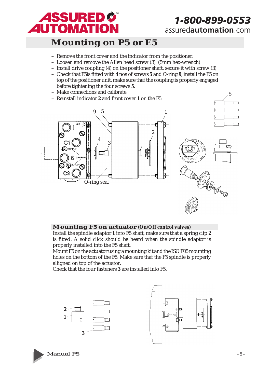

5

## **Mounting on P5 or E5**

- Remove the front cover and the indicator from the positioner.
- Loosen and remove the Allen head screw (3) (5mm hex-wrench)
- Install drive coupling (4) on the positioner shaft, secure it with screw (3)
- Check that F5is fitted with **4** nos of screws **5** and O-ring **9**, install the F5 on top of the positioner unit, make sure that the coupling is properly engaged before tightening the four screws **5**.
- Make connections and calibrate.
- Reinstall indicator **2** and front cover **1** on the F5.



## **Mounting F5 on actuator (On/Off control valves)**

Install the spindle adaptor **1** into F5 shaft, make sure that a spring clip **2** is fitted. A solid click should be heard when the spindle adaptor is properly installed into the F5 shaft.

Mount F5 on the actuator using a mounting kit and the ISO F05 mounting holes on the bottom of the F5. Make sure that the F5 spindle is properly alligned on top of the actuator.

Check that the four fasteners **3** are installed into F5.





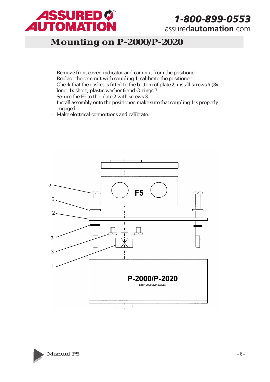

## *1-800-899-0553*

assured**automation**.com

## **Mounting on P-2000/P-2020**

- Remove front cover, indicator and cam nut from the positioner
- Replace the cam nut with coupling **1**, calibrate the positioner.
- Check that the gasket is fitted to the bottom of plate **2**, install screws **5** (3x long, 1x short) plastic washer **6** and O-rings **7**.
- Secure the F5 to the plate **2** with screws **3**.
- Install assembly onto the positioner, make sure that coupling **1** is properly engaged.
- Make electrical connections and calibrate.



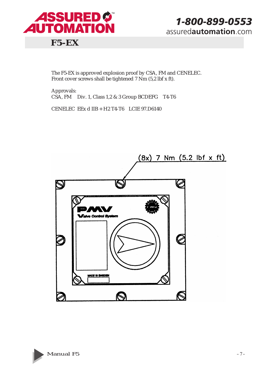

The F5-EX is approved explosion proof by CSA, FM and CENELEC. Front cover screws shall be tightened 7 Nm (5,2 lbf x ft).

Approvals: CSA, FM Div. 1, Class 1,2 & 3 Group BCDEFG T4-T6

CENELEC EEx d IIB + H2 T4-T6 LCIE 97.D6140



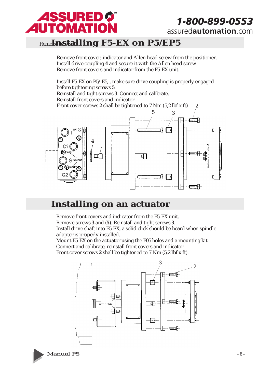

## Remo**lassiaalling F5-EX on P5/E5**

- Remove front cover, indicator and Allen head screw from the positioner.
- Install drive coupling **4** and secure it with the Allen head screw.
- Remove front covers and indicator from the F5-EX unit.
- – Install F5-EX on P5/E5, , make sure drive coupling is properly engaged before tightening screws **5**.
- Reinstall and tight screws **3**. Connect and calibrate.
- Reinstall front covers and indicator.
- Front cover screws **2** shall be tightened to 7 Nm (5,2 lbf x ft)



## **Installing on an actuator**

- Remove front covers and indicator from the F5-EX unit.
- Remove screws **3** and (**5**). Reinstall and tight screws **3**.
- Install drive shaft into F5-EX, a solid click should be heard when spindle adapter is properly installed.
- Mount F5-EX on the actuator using the F05 holes and a mounting kit.
- Connect and calibrate, reinstall front covers and indicator.
- Front cover screws **2** shall be tightened to 7 Nm (5,2 lbf x ft).



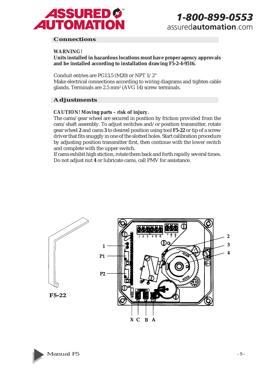

#### **Connections**

#### **WARNING!**

**Units installed in hazardous locations must have proper agency approvals and be installed according to installation drawing F5-2-4-9516.**

Conduit entries are PG13,5 (M20) or NPT 1/2"

Make electrical connections according to wiring diagrams and tighten cable glands. Terminals are 2.5  $\text{mm}^{\text{2}}$  (AVG 14) screw terminals.

#### **Adjustments**

**CAUTION! Moving parts – risk of injury.**

The cams/gear wheel are secured in position by friction provided from the cam/shaft assembly. To adjust switches and/or position transmitter, rotate gear wheel **2** and cams **3** to desired position using tool **F5-22** or tip of a screw driver that fits snuggly in one of the slotted holes. Start calibration procedure by adjusting position transmitter first, then continue with the lower switch and complete with the upper switch.

If cams exhibit high stiction, rotate them back and forth rapidly several times. Do not adjust nut **4** or lubricate cams, call PMV for assistance.



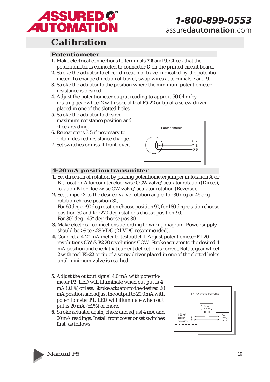

## **Calibration**

#### **Potentiometer**

- **1.** Make electrical connections to terminals **7**,**8** and **9**. Check that the potentiometer is connected to connector **C** on the printed circuit board.
- **2.** Stroke the actuator to check direction of travel indicated by the potentiometer. To change direction of travel, swap wires at terminals 7 and 9.
- **3.** Stroke the actuator to the position where the minimum potentiometer resistance is desired.
- **4.** Adjust the potentiometer output reading to approx. 50 Ohm by rotating gear wheel **2** with special tool **F5-22** or tip of a screw driver placed in one of the slotted holes.
- **5.** Stroke the actuator to desired maximum resistance position and check reading.
- **6.** Repeat steps 3-5 if necessary to obtain desired resistance change.
- 7. Set switches or install frontcover.



#### **4-20 mA position transmitter**

- **1.** Set direction of rotation by placing potentiometer jumper in location A or B. (Location **A** for counter clockwise CCW valve/actuator rotation (Direct), location **B** for clockwise CW valve/actuator rotation (Reverse).
- **2.** Set jumper X to the desired valve rotation angle, for 30 deg or 45 deg rotation choose position 30, For 60 deg or 90 deg rotation choose position 90, for 180 deg rotation choose position 30 and for 270 deg rotations choose position 90. For 30° deg - 45° deg choose pos 30.
- **3.** Make electrical connections according to wiring diagram. Power supply should be >9 to <28 VDC (24 VDC recommended).
- **4.** Connect a 4-20 mA meter to testoutlet **1**. Adjust potentiometer **P1** 20 revolutions CW & **P2** 20 revolutions CCW. Stroke actuator to the desired 4 mA position and check that current deflection is correct. Rotate gear wheel **2** with tool **F5-22** or tip of a screw driver placed in one of the slotted holes until minimum valve is reached.
- **5.** Adjust the output signal 4,0 mA with potentiometer **P2**. LED will illuminate when out put is 4 mA (±1%) or less. Stroke actuator to the desired 20 mA position and adjust the output to 20,0 mA with potentiometer **P1**. LED will illuminate when out put is 20 mA  $(\pm 1\%)$  or more.
- **6.** Stroke actuator again, check and adjust 4 mA and 20 mA readings. Install front cover or set switches first, as follows:



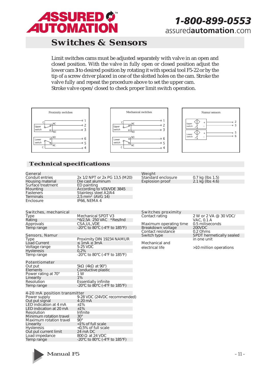

## **Switches & Sensors**

Limit switches cams must be adjusted separately with valve in an open and closed position. With the valve in fully open or closed position adjust the lower cam **3** to desired position by rotating it with special tool F5-22 or by the tip of a screw driver placed in one of the slotted holes on the cam. Stroke the valve fully and repeat the procedure above to set the upper cam. Stroke valve open/closed to check proper limit switch operation.







## **Technical specifications**

| General<br>Conduit entries<br>Housing material<br>Surface treatment<br>Mounting<br>Fasteners<br><b>Terminals</b><br>Enclosure                                                                                                                                                      | 2x 1/2 NPT or 2x PG 13,5 (M20)<br>Die cast aluminum<br>ED painting<br>According to VDI/VDE 3845<br>Stainless steel A2/A4<br>$2,5$ mm <sup>2</sup> (AVG 14)<br>IP66, NEMA 4                                         | Weight<br>Standard enclosure<br><b>Explosion proof</b>                                                                                                        | $0.7$ kg (lbs 1.5)<br>2.1 kg (lbs 4.6)                                                                                                            |
|------------------------------------------------------------------------------------------------------------------------------------------------------------------------------------------------------------------------------------------------------------------------------------|--------------------------------------------------------------------------------------------------------------------------------------------------------------------------------------------------------------------|---------------------------------------------------------------------------------------------------------------------------------------------------------------|---------------------------------------------------------------------------------------------------------------------------------------------------|
| Switches, mechanical<br>Type<br>Rating<br>Approvals<br>Temp range<br>Sensors, Namur<br>Type<br><b>Load Current</b><br>Voltage range<br><b>Hysteresis</b><br>Temp range                                                                                                             | Mechanical SPDT V3<br>*6/2,5A 250 VAC *Res/Ind<br>CSA, UL, VDE<br>-20°C to 80°C (-4°F to 185°F)<br>Proximity DIN 19234 NAMUR<br>$\leq 1$ mA $\geq 3$ mA<br>5-25 VDC<br>0,2%<br>-20°C to 80°C (-4°F to 185°F)       | Switches proximity<br>Contact rating<br>Maximum operating time<br>Breakdown voltage<br>Contact resistance<br>Switch type<br>Mechanical and<br>electrical life | 2 W or 2 VA @ 30 VDC/<br>VAC, 0.1 A<br>0.5 miliseconds<br>200VDC<br>0.2 Ohms<br>SPDT hermetically sealed<br>in one unit<br>>10 million operations |
| Potentiometer<br>Out put<br>Elements<br>Power rating at 70°<br>Linearity<br>Resolution<br>Temp range                                                                                                                                                                               | 5kΩ (4kΩ at 90°)<br>Conductive plastic<br>1 W<br>1%<br><b>Essentially infinite</b><br>-20 $\degree$ C to 80 $\degree$ C (-4 $\degree$ F to 185 $\degree$ F)                                                        |                                                                                                                                                               |                                                                                                                                                   |
| 4-20 mA position transmitter<br>Power supply<br>Out put signal<br>LED indication at 4 mA<br>LED indication at 20 mA<br>Resolution<br>Minimum rotation travel<br>Maximum rotation travel<br>Linearity<br><b>Hysteresis</b><br>Out put current limit<br>Load impedance<br>Temp range | 9-28 VDC (24VDC recommended)<br>$4-20$ mA<br>±1%<br>±1%<br>Infinite<br>$30^\circ$<br>$90^\circ$<br><1% of full scale<br><0,5% of full scale<br>24 mA DC<br>$800 \Omega$ at 24 VDC<br>-20°C to 80°C (-4°F to 185°F) |                                                                                                                                                               |                                                                                                                                                   |

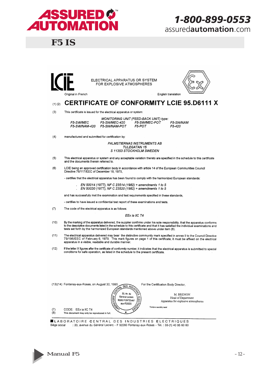

## **F5 IS**





## (1)(2) CERTIFICATE OF CONFORMITY LCIE 95.D6111 X

F5-POT

 $(3)$ This certificate is issued for the electrical apparatus or system:

> MONITORING UNIT (FEED-BACK UNIT) type: F5-SW/MEC F5-SW/MEC-420 F5-SW/NAM-420 F5-SW/NAM-POT

F5-SW/MEC-POT  $F5-420$ 

F5-SW/NAM

manufactured and submitted for certification by:  $(4)$ 

> **PALMSTIERNAS INSTRUMENTS AB** TULEGATAN 15 S 11353 STOCKHOLM SWEDEN

- $(5)$ This electrical apparatus or system and any acceptable variation thereto are specified in the schedule to this certificate and the documents therein referred to.
- $(6)$ LCIE being an approved certification body in accordance with article 14 of the European Communities Council Directive 76/117/EEC of December 18, 1975.

- certifies that the electrical apparatus has been found to comply with the harmonized European standards:

EN 50014 (1977), NF C 23514 (1982) + amendments 1 to 5

EN 50020 (1977), NF C 23520 (1982) + amendments 1 to 5

and has successfully met the examination and test requirements specified in these standards

- certifies to have issued a confidential test report of these examinations and tests.

 $(7)$ The code of the electrical apparatus is as follows:

#### EEx ia IIC T4

- $(10)$ By the marking of the apparatus delivered, the supplier confirms under his sole responsibility, that the apparatus conforms<br>to the descriptive documents listed in the schedule to this certificate and that it has satisfied tests set forth by the harmonized European standards mentioned above under item (6).
- The electrical apparatus delivered may bear the distinctive community mark specified in annex II to the Council Directive<br>79/196/EEC of February 6, 1979. This mark figures on page 1 of this certificate; it must be affixed  $(11)$ apparatus in a visible, readable and durable manner.
- $(12)$ If the letter X figures after the certificate of conformity number, it indicates that the electrical apparatus is submitted to special conditions for safe operation, as listed in the schedule to the present certificate.

| (13)(14) Fontenay-aux-Roses, on August 30, 1995<br>DES INDU <sub>O</sub><br>$A^{QPL}$                                                                                   | For the Certification Body Director.                                                                             |
|-------------------------------------------------------------------------------------------------------------------------------------------------------------------------|------------------------------------------------------------------------------------------------------------------|
| ⊛<br>33, Av. du<br><b>SORRE</b><br>Général Leclerc<br>92260 FONTENAY<br>aux-ROSES<br>(7)<br>CODE: EEx ia IIC T4<br>(8)<br>This document may only be reproduced in full. | M. BRENON<br>١r<br>Head of Department<br>15<br>Apparatus for explosive atmospheres<br>्रद<br>Timbre sec/dry seal |

LABORATOIRE CENTRAL DES INDUSTRIES ELECTRIQUES 33, avenue du Général Leclerc - F 92260 Fontenay-aux-Roses - Tél. : 33-(1) 40 95 60 60 Siège social

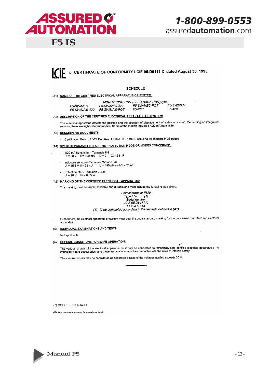## **ASSURED Ø AUTOMATION**

**F5 IS** 

## 1-800-899-0553 assuredautomation.com

 $\mathcal{L}$ 



#### **SCHEDULE**

(A1) NAME OF THE CERTIFIED ELECTRICAL APPARATUS OR SYSTEM:

|                      |               | MONITORING UNIT (FEED-BACK UNIT) type: |           |
|----------------------|---------------|----------------------------------------|-----------|
| F5-SW/MEC            | F5-SW/MEC-420 | F5-SW/MEC-POT                          | F5-SW/NAM |
| <b>F5-SW/NAM-420</b> | F5-SW/NAM-POT | F5-POT                                 | F5-420    |

(A2) DESCRIPTION OF THE CERTIFIED ELECTRICAL APPARATUS OR SYSTEM:

The electrical apparatus detects the position and the direction of displacement of a disk or a shaft. Depending on integrated<br>sensors, there are eight different models. Some of the models include a 4/20 mA transmitter.

(A3) DESCRIPTIVE DOCUMENTS

- Certification file No. F5-24. Doc Rev. 1 dated 06.07.1995, including 30 chapters in 33 pages.

(A4) SPECIFIC PARAMETERS OF THE PROTECTION MODE OR MODES CONCERNED:

- 4/20 mA transmitter Terminals 8-9<br>Ui = 28 V ii = 100 mA Li = 0 Ci = 68 nF
- Inductive sensors Terminals 2-3 and 5-6<br>Ui = 15.5 V Ii = 31 mA Li = 190 µH and Ci = 70 nF  $\ddot{\phantom{a}}$  $Ui = 15.5 V$   $li = 31 mA$
- Potentiometer Terminals 7-8-9<br>Ui = 28 V Pi = 0.85 W
- (A5) MARKING OF THE CERTIFIED ELECTRICAL APPARATUS:

The marking must be visible, readable and durable and must include the following indications:

Palmstiernas or PMV Type F5-... (1)<br>Serial number<br>LCIE 95.D6111 X EEx ia IIC T4 (1) to be completed according to the variants defined in (A1)

Furthermore, the electrical apparatus or system must bear the usual standard marking for the concerned manufactured electrical apparatus

(A6) INDIVIDUAL EXAMINATIONS AND TESTS:

Not applicable

(A7) SPECIAL CONDITIONS FOR SAFE OPERATION:

The various circuits of the electrical apparatus must only be connected to intrinsically safe certified electrical apparatus or to intrinsically safe accessories, and these associations must be compatible with the rules of

The various circuits may be considered as separated if none of the voltages applied exceeds 30 V.

(7) CODE: EEx ia IIC T4

(8) This document may only be reproduced in full.

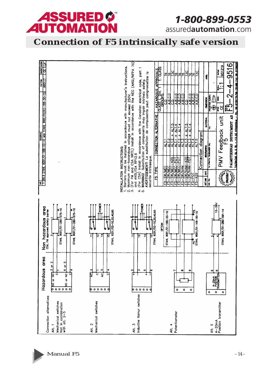

*1-800-899-0553*

assured**automation**.com

**Connection of F5 intrinsically safe version**

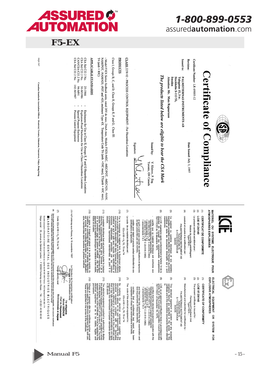

F5-EX

|                           | 1-800-899-0553<br>assuredautomation.com |  |
|---------------------------|-----------------------------------------|--|
|                           |                                         |  |
| $\frac{\text{CLASS2}}{2}$ | ssued to                                |  |

Sweden



- Model F5EX Series feedback units, rated 28V de max; 24mA max, Models F5EX-MEC, -MEC/POT, -MEC/420, -NAM, NAM, NAM, 25 MAM, 1997 et and 28V de max, 24mA max, Models F5EX-MEC, -MEC/420, -NAM, 25 MAM, 25 Mam at 26 et and a  $T4$  (and  $+80C$ )

# **APPLICABLE STANDARDS**

**PRODUCTS** 

| 25A Std C22.2 No. 25-1966 |  | Enclosures for Use in Class II, Groups E, F and G Hazardous Locations |
|---------------------------|--|-----------------------------------------------------------------------|
| SA Std C22.2 No. 30-M1986 |  | Explosion-Proof Enclosures for Use in Class I Hazardous Locations     |
| LAN/CSA-C22.2 No. 94-M91  |  | Special Purpose Enclosures                                            |
|                           |  | $58A$ Std $C22.2$ No. $142-M1987$ $P$ Process Control Equipment       |

Canadian Standards Association Offices: Montréal, Toronto, Edmonton, Vancouver, Tokyo, Hong Kong

Los ciòci

|   | <b>TMOSPHERES EXPLOSIVES</b><br><b>MATERIEL</b><br>2<br><b>SYSTEME</b><br><b>ELECTRIQUE</b><br>90H                                                                                                                     |     | <b>EXPLOSIVE ATMOSPHERES</b><br><b>ELECTRICAL</b><br>EQUIPMENT<br>9<br>SYSTEM FOR                                                                                                                                         |      |
|---|------------------------------------------------------------------------------------------------------------------------------------------------------------------------------------------------------------------------|-----|---------------------------------------------------------------------------------------------------------------------------------------------------------------------------------------------------------------------------|------|
| ⇨ | <b>CERTIFICAT DE CONFORMITE</b>                                                                                                                                                                                        | Э   | <b>CERTIFICATE OF CONFORMITY</b>                                                                                                                                                                                          |      |
| ల | LCIE 97.D6140                                                                                                                                                                                                          | ত   | LCIE 97.D6140                                                                                                                                                                                                             |      |
| ఆ | Le présent certificat est délivré pour :                                                                                                                                                                               | ම   | The present certificate is issued for :                                                                                                                                                                                   |      |
|   | Module de contrôle antidéflagrant<br>Type F5EX-                                                                                                                                                                        |     | Flameproof Feedback Unit<br>Type F5EX-                                                                                                                                                                                    |      |
| ¢ | construit et soumis à la certification par :                                                                                                                                                                           | Ð   | Manufactured and submitted for certification by:                                                                                                                                                                          |      |
|   | PALMSTIERNAS INSTRUMENT AB<br>TIGS STOCKHOLM<br>S-113 53 STOCKHOLM<br>SUEDE                                                                                                                                            |     | PALMSTIERNAS INSTRUMENT AB<br>TIGS STOCKHOLM<br>S-113 53 STOCKHOLM<br>SUEDE                                                                                                                                               |      |
| ౨ | Ce matériel ou système électrique et ses variantes<br>éventuelles acceptées sont décrits dans l'annexe du présent<br>certificat et dans les documents descriptis qui y sont<br>mentionnes                              | ම   | variations thereof are specified in the annex to this<br>certificate and in the descriptive documents therein referred<br>This electrical equipment or system and any accepted                                            |      |
| ೨ | Le LCIE, organisme agréé conformément à l'article 14 de la<br>directive du Conseil des communautés européennes<br>76/117/CEE du 18 décembre 1975,                                                                      | ô   | LCIE, as an approved certification body in accordance with<br>article 14 of the European Communities Council Directive<br>76/117/EEC of December 18, 1975,                                                                |      |
|   | + amendements { a 5<br>. EN 50018 (1977), NF C 23-518 (1982)<br>+ amendements { a 3<br>normes européennes harmonisees :<br>EN 50014 (1977), NF C 23-514 (1982)<br>certifie que ce matériel électrique est conforme aux | 'n, | following itarigonized European standards<br>The Mondon Richard (1971)<br>The Mondon Richard (1975–1974 (1982)<br>Tamendements 1 to 3<br>Famendements 1 to 3<br>certifies that the electrical equipment complies with the |      |
|   | et qu'il a subi avec succès les vérifications et épreuves<br>de type prescrites par ces normes.<br>type prescrites par ces normes.                                                                                     |     | and that it has fully satisfied the type examination and<br>test requirements of these standards,                                                                                                                         |      |
|   | ı<br>verifications et épreuves.<br>certifie avoir établi un procès-verbal confidentiel de ces                                                                                                                          | ł   | certifies that a confidential test report has<br>completed on these type examinations and tests                                                                                                                           | been |



- 
- sous sa proprie esponsabilité, que ce médiente sa conforme<br>sous sa proprie de la proprie de la présence de la proprie de la proprie de la proprie de la proprie de la pr<br>ce de la qualité de la proprié de la proprié de la p EEx d IIB + H<sub>2</sub> T6, T5 ou T4

 $\hat{e}$ 

EEx d IIB + H<sub>2</sub> T6, T5 or T4

By mindicating different control of the material property that the control of the material of the control of the material of the control of the material of the control of the control of the control of the control of the co

 $\hat{a}$ 

(1)<br>19 Martin Germann (1976), a compositor de la contrasta de la compositor de la contrasta de la contrasta de la<br>19 March 19 March 2016, político de la contrasta de la contrasta de la contrasta de la contrasta de la contr dessu

(1) The delaytive European Community mark spocified in amost<br>the delaytic structure of the structure of the structure of the structure of the structure of the structure of<br>a default of the structure of the structure of th

(12) Where as a oppose after the certificate trumber, special<br>Theory and a specified in the annex to this certificate.<br>These are specified in the annex to this certificate.

(12) Le signe X lorsqu'il est placé à la suite du numéro du<br>set source de la suite de la suite du numéro du set de la suite du numéro du<br>set sourci e aux conditions spéciales pour une utilication<br>suie, mentionnées dans l'a

(13-14)Fontenay-aux-Roses, le 18 novembre 1997



 $\frac{1}{2}$ 

Timble sec/dry seal **Environnements et risques** 

Seul le texte en français peut engager la responsabilié du LCIE. Ce document ne peut être reproduit que dans son intégralié, sans aucune modification<br>The LCIE's tabiliy applies only on the French lext. This document may on

**MILABORATOIRE CENTRAL DES INDUSTRIES ELECTRIQUES** Siège social: 33, avenue du Général Leclerc - F 92260 Fontenay-aux-Roses - Tél.: +33 (0)1 40 95 60 60 Société anonyme à Directoire et Conseil de surveillance au capital de 99 592 000 Francs - RCS Nanterre B 408 363 174

Par délégation<br>Michel BRÉNON<br>Chef du Département





**Wale** 

Le Directeur de l'organisme certificateur<br>Man**ager** of the certification body<br>Man**ager** of the certification body

**Manual F5** 

 $-15-$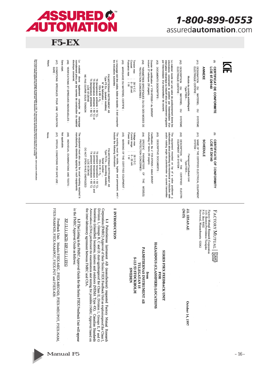

| 67 |              | ×.  | H |
|----|--------------|-----|---|
|    | $\leftarrow$ | - - |   |

| Seul le texte en français peut engager la responsabilité du LCIE. Ce document ne peut être reproduit que dans son intégralité, sans aucune modification<br>The LCIE's iability applies only on the French text. This document may | <b>Néant</b><br>None | $\widetilde{\mathcal{E}}$<br>CONDITIONS SPECIALES POUR UNE UTILISATION<br>SURE :<br>(5)<br>SPECIAL CONDITIONS FOR SAFE USE      | Sans objet.<br>Not applicable          | $\mathcal{S}$<br>électrique concerné<br>Le matériel devra également comporter le<br>normalement prévu par les normes de construction<br>VERIFICATIONS ET EPREUVES INDIVIDUELLES<br>marquage<br>du matériel<br>The equipment must also carry the usual marking required<br>manufacturing standards applying to such equipments<br>$\mathcal{P}(\Theta)$<br>INDIVIDUAL EXAMINATIONS AND TESTS | PALMSTIERNAS INSTRUMENT AB<br>NE PAS OUVRIR SOUS TENSION<br>Type F5 Ex (suivant modèles)<br><b>74</b><br>ದ<br>(température ambiante + 50 °C),<br>(température ambiante + 60 °C) et<br>(température ambiante + 80 °C)<br>N' de fabrication :<br>EEx d IIB + H <sub>2</sub><br>LCIE 97.D6140<br>LCIE 97.D6140<br>DO NOT OPEN WHILE ENERGIZED<br>PALMSTIERNAS INSTRUMENT AB<br>Type F5 Ex (according models)<br>T6 (ambient temperature + 50 °C),<br>T5 (ambient temperature + 60 °C) and<br>T4 (ambient temperature + 80 °C)<br>Serial number :<br>EEx d IIB + $H_2$ | les indications suivantes :<br>Le marquage doit être visible, lisible et durable ; il doit comporter<br>include the following information:<br>The marking must be visible, legible and permanent, | (A5) MARQUAGE DU MATERIEL CERTIFIE :<br>(A5) MARKING OF THE CERTIFIED EQUIPMENT: | Puissance max<br>Courant<br>Tension max<br>28 V C.C.<br>0 - 20 mA<br>1 W<br>Power max<br>Voltage max<br>Current range<br>28 V D.C.<br>0 - 20 mA<br>$\frac{1}{2}$ | (A4)<br>PARAMETRES SPECIFIQUES MODES DD CES MODES DE CONCERTENCION CONCERNATION<br>$(\forall 4)$<br>SPECIFIC PARAMETERS<br>ă | Dossier de certification n° F5X-970526-1 du 26/05/97<br>incluant 27 rubriques (30 pages).<br>including 27 items (30 pages).<br>Certification file n' F5X-970526-1 dated 26/5/97 | (A3)<br>DOCUMENTS DESCRIPTIFS :<br>(EV)<br>DESCRIPTIVE DOCUMENTS | par l'intermédiaire d'un transmetteur de courant.<br>interrupteur mécanique ou inductif et/ou un mouvement angulaire<br>informations concernant la position par l'intermédiaire d'un<br>Le matériel monté sur une valve de positionnement donne les<br>The equipment mounted on top of a valve positioner gindmations about positioning via mechanical or inductive switt<br>informations about positioning via mechanical or inductive switt<br>and/or rotating angle via potentiometer or | $\infty$<br>DESCRIPTION DU M<br>ELECTRIQUE CERTIFIE :<br>Module de contrôle antidéflagrant<br>Type F5EX-<br>MATERIEL<br>S<br>SYSTEME<br>(x2)<br>DESCRIPTION OF THE CERTIFIED<br>EQUIPMENT OR SYSTEM : | Flameproof Feedback Unit<br>Type F5EX- | $\widetilde{z}$<br>DESIGNATION DU N<br>ELECTRIQUE CERTIFIE :<br>MATERIEL<br>S<br><b>SYSTEME</b><br>(H)<br>NAME OF THE CERTIFIED ELECTRICAL EQUIPMENT<br>SYSTEM : | <b>ANNEXE</b><br>SCHEDULE                        | $\circledcirc$<br>CERTIFICAT DE CONFORMITE<br>LCIE 97.D6140<br>©<br>CERTIFICATE OF CONFORMITY<br>LCIE 97.D6140 |  |
|-----------------------------------------------------------------------------------------------------------------------------------------------------------------------------------------------------------------------------------|----------------------|---------------------------------------------------------------------------------------------------------------------------------|----------------------------------------|---------------------------------------------------------------------------------------------------------------------------------------------------------------------------------------------------------------------------------------------------------------------------------------------------------------------------------------------------------------------------------------------|--------------------------------------------------------------------------------------------------------------------------------------------------------------------------------------------------------------------------------------------------------------------------------------------------------------------------------------------------------------------------------------------------------------------------------------------------------------------------------------------------------------------------------------------------------------------|---------------------------------------------------------------------------------------------------------------------------------------------------------------------------------------------------|----------------------------------------------------------------------------------|------------------------------------------------------------------------------------------------------------------------------------------------------------------|------------------------------------------------------------------------------------------------------------------------------|---------------------------------------------------------------------------------------------------------------------------------------------------------------------------------|------------------------------------------------------------------|---------------------------------------------------------------------------------------------------------------------------------------------------------------------------------------------------------------------------------------------------------------------------------------------------------------------------------------------------------------------------------------------------------------------------------------------------------------------------------------------|-------------------------------------------------------------------------------------------------------------------------------------------------------------------------------------------------------|----------------------------------------|------------------------------------------------------------------------------------------------------------------------------------------------------------------|--------------------------------------------------|----------------------------------------------------------------------------------------------------------------|--|
|                                                                                                                                                                                                                                   |                      |                                                                                                                                 |                                        | ē                                                                                                                                                                                                                                                                                                                                                                                           |                                                                                                                                                                                                                                                                                                                                                                                                                                                                                                                                                                    | and                                                                                                                                                                                               |                                                                                  |                                                                                                                                                                  | 복<br>MODE(S)                                                                                                                 |                                                                                                                                                                                 |                                                                  |                                                                                                                                                                                                                                                                                                                                                                                                                                                                                             | <b>ELECTRI</b>                                                                                                                                                                                        |                                        |                                                                                                                                                                  |                                                  |                                                                                                                |  |
|                                                                                                                                                                                                                                   |                      | FSEX-NAM/420, FSEX-NAM/PO<br>Feedback Unit. Models F5EX-MEC, F5EX-MEC/420, F5EX-MEC/POT, F5EX-NAM,<br>T, FSEX-POT and FSEX-420. | XP /1/1/BCD; DIP / II /<br><b>IBEG</b> | in the FMRC Approval Guide as follows:<br>1.2 The Listing in the FMRC Approval Guide for the Series F5EX Feedback Unit will appear                                                                                                                                                                                                                                                          | the inter-laboratory agreement between FMRC and CSA.<br>hazardous (classified) locations, indoors and outdoors (NEMA Type 4X). Canadian Standards<br>1.1 Palmstiernas Injstrument AB (manufacturer) requested Factory Mutual Research Corporation (FMRC) Approval of their Series F5EX Feedback Unit as explosion<br>providion (FMRC) Approval of their Series F5EX Feedback Unit as<br>Association (CSA) performed the examination and testing for possible FMRC Approval based on                                                                                | I INTRODUCTION                                                                                                                                                                                    |                                                                                  | S-113 53 STOCKHOLM<br><b>SWEDEN</b>                                                                                                                              | <b>PALM</b><br><b>STIERNAS INSTRUMENT AB</b><br>TULEGATAN 15                                                                 | HAZARDOUS (CLASSIFIED) LOCATIONS<br>from                                                                                                                                        | FOR                                                              | <b>SERIES FSEX FEEDBACK UNIT</b>                                                                                                                                                                                                                                                                                                                                                                                                                                                            | (3615)<br>October 14, 1997                                                                                                                                                                            | <b>J.I. 1B5A9.AE</b>                   | Norwood, Massachusetts 02062                                                                                                                                     | P.O. Box 9102<br>1151 Boston-Providence Turnpike | Factory Mutual Research Corporation<br>FACTORY MUTUAL<br>É                                                     |  |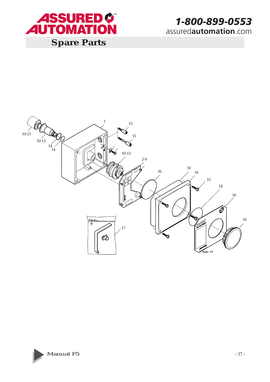



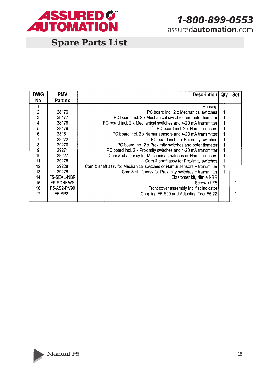

## **Spare Parts List**

| DWG              | <b>PMV</b>       | Description                                                             | Qty | <b>Set</b> |
|------------------|------------------|-------------------------------------------------------------------------|-----|------------|
| <b>No</b>        | Part no          |                                                                         |     |            |
|                  |                  | Housing                                                                 |     |            |
| $\mathbf{c}$     | 28176            | PC board incl. 2 x Mechanical switches                                  |     |            |
| 3                | 28177            | PC board incl. 2 x Mechanical switches and potentiometer                |     |            |
| 4                | 28178            | PC board incl. 2 x Mechanical switches and 4-20 mA transmitter          |     |            |
| 5                | 28179            | PC board incl. 2 x Namur sensors                                        |     |            |
| $\boldsymbol{6}$ | 28181            | PC board incl. 2 x Namur sensors and 4-20 mA transmitter                |     |            |
| 7                | 29272            | PC board incl. 2 x Proximity switches                                   |     |            |
| 8                | 29270            | PC board incl. 2 x Proximity switches and potentiometer                 |     |            |
| 9                | 29271            | PC board incl. 2 x Proximity switches and 4-20 mA transmitter           |     |            |
| 10               | 29227            | Cam & shaft assy for Mechanical switches or Namur sensors               |     |            |
| 11               | 29275            | Cam & shaft assy for Proximity switches                                 |     |            |
| 12               | 29228            | Cam & shaft assy for Mechanical switches or Namur sensors + transmitter | 1   |            |
| 13               | 29276            | Cam & shaft assy for Proximity switches + transmitter                   | 1   |            |
| 14               | F5-SEAL-NBR      | Elastomer kit, Nitrile NBR                                              |     |            |
| 15               | <b>F5-SCREWS</b> | Screw kit F5                                                            |     |            |
| 16               | F5-AS2-PV90      | Front cover assembly incl.flat indicator                                |     |            |
| 17               | F5-SP22          | Coupling F5-S00 and Adjusting Tool F5-22                                |     |            |

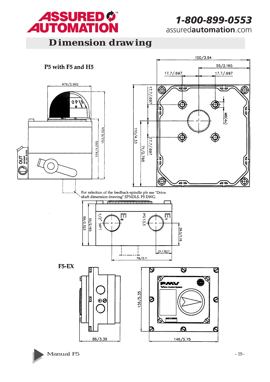

**Dimension drawing**